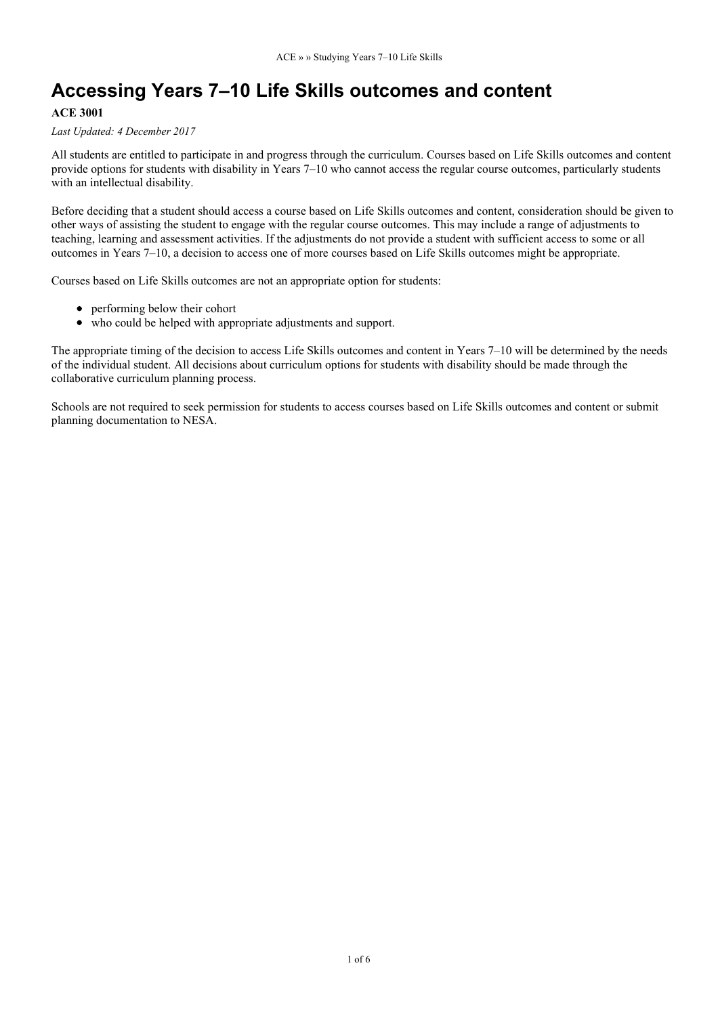# **Accessing Years 7–10 Life Skills outcomes and content**

#### **ACE 3001**

#### *Last Updated: 4 December 2017*

All students are entitled to participate in and progress through the curriculum. Courses based on Life Skills outcomes and content provide options for students with disability in Years 7–10 who cannot access the regular course outcomes, particularly students with an intellectual disability.

Before deciding that a student should access a course based on Life Skills outcomes and content, consideration should be given to other ways of assisting the student to engage with the regular course outcomes. This may include a range of adjustments to teaching, learning and assessment activities. If the adjustments do not provide a student with sufficient access to some or all outcomes in Years 7–10, a decision to access one of more courses based on Life Skills outcomes might be appropriate.

Courses based on Life Skills outcomes are not an appropriate option for students:

- performing below their cohort
- who could be helped with appropriate adjustments and support.

The appropriate timing of the decision to access Life Skills outcomes and content in Years 7–10 will be determined by the needs of the individual student. All decisions about curriculum options for students with disability should be made through the collaborative curriculum planning process.

Schools are not required to seek permission for students to access courses based on Life Skills outcomes and content or submit planning documentation to NESA.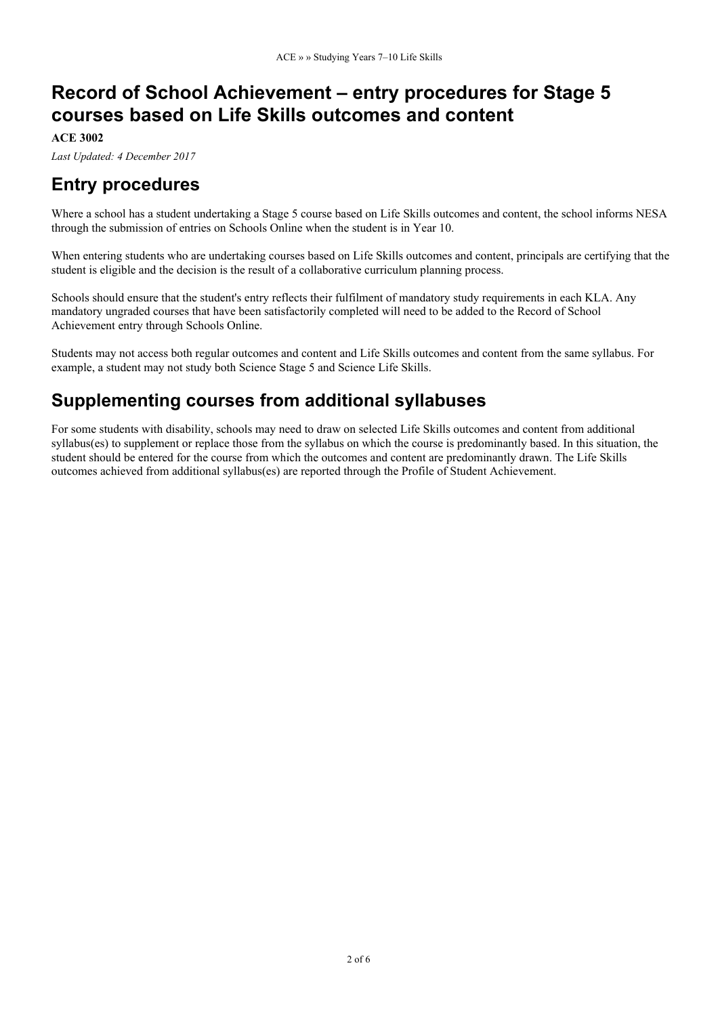# **Record of School Achievement – entry procedures for Stage 5 courses based on Life Skills outcomes and content**

**ACE 3002**

*Last Updated: 4 December 2017*

### **Entry procedures**

Where a school has a student undertaking a Stage 5 course based on Life Skills outcomes and content, the school informs NESA through the submission of entries on Schools Online when the student is in Year 10.

When entering students who are undertaking courses based on Life Skills outcomes and content, principals are certifying that the student is eligible and the decision is the result of a collaborative curriculum planning process.

Schools should ensure that the student's entry reflects their fulfilment of mandatory study requirements in each KLA. Any mandatory ungraded courses that have been satisfactorily completed will need to be added to the Record of School Achievement entry through Schools Online.

Students may not access both regular outcomes and content and Life Skills outcomes and content from the same syllabus. For example, a student may not study both Science Stage 5 and Science Life Skills.

### **Supplementing courses from additional syllabuses**

For some students with disability, schools may need to draw on selected Life Skills outcomes and content from additional syllabus(es) to supplement or replace those from the syllabus on which the course is predominantly based. In this situation, the student should be entered for the course from which the outcomes and content are predominantly drawn. The Life Skills outcomes achieved from additional syllabus(es) are reported through the Profile of Student Achievement.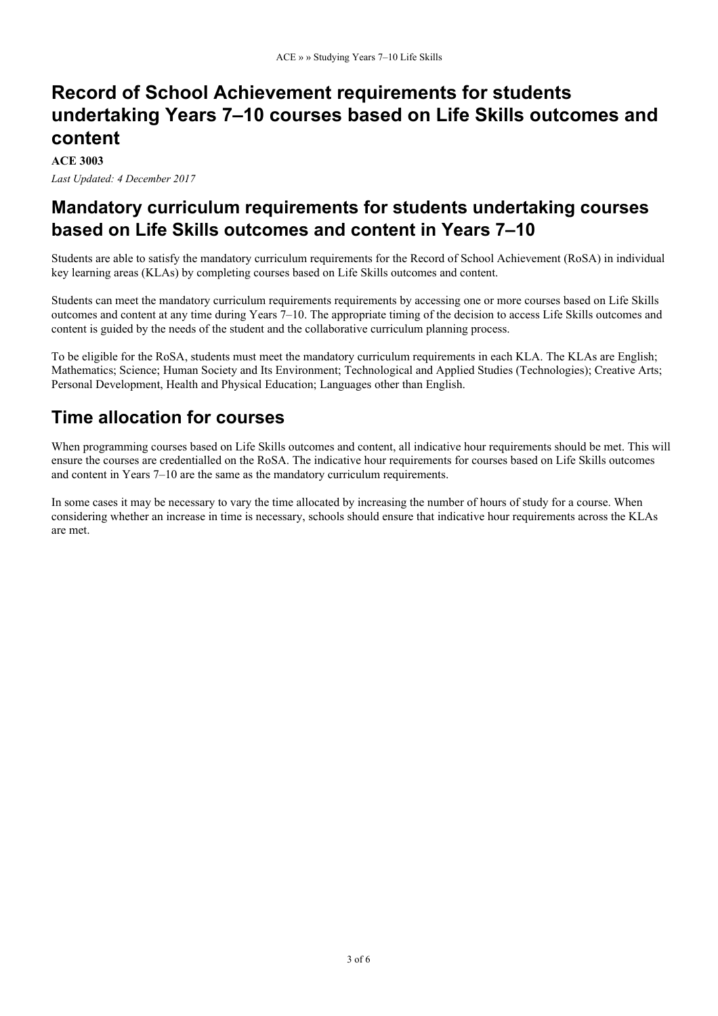## **Record of School Achievement requirements for students undertaking Years 7–10 courses based on Life Skills outcomes and content**

**ACE 3003**

*Last Updated: 4 December 2017*

### **Mandatory curriculum requirements for students undertaking courses based on Life Skills outcomes and content in Years 7–10**

Students are able to satisfy the mandatory curriculum requirements for the Record of School Achievement (RoSA) in individual key learning areas (KLAs) by completing courses based on Life Skills outcomes and content.

Students can meet the mandatory curriculum requirements requirements by accessing one or more courses based on Life Skills outcomes and content at any time during Years 7–10. The appropriate timing of the decision to access Life Skills outcomes and content is guided by the needs of the student and the collaborative curriculum planning process.

To be eligible for the RoSA, students must meet the mandatory curriculum requirements in each KLA. The KLAs are English; Mathematics; Science; Human Society and Its Environment; Technological and Applied Studies (Technologies); Creative Arts; Personal Development, Health and Physical Education; Languages other than English.

### **Time allocation for courses**

When programming courses based on Life Skills outcomes and content, all indicative hour requirements should be met. This will ensure the courses are credentialled on the RoSA. The indicative hour requirements for courses based on Life Skills outcomes and content in Years 7–10 are the same as the mandatory curriculum requirements.

In some cases it may be necessary to vary the time allocated by increasing the number of hours of study for a course. When considering whether an increase in time is necessary, schools should ensure that indicative hour requirements across the KLAs are met.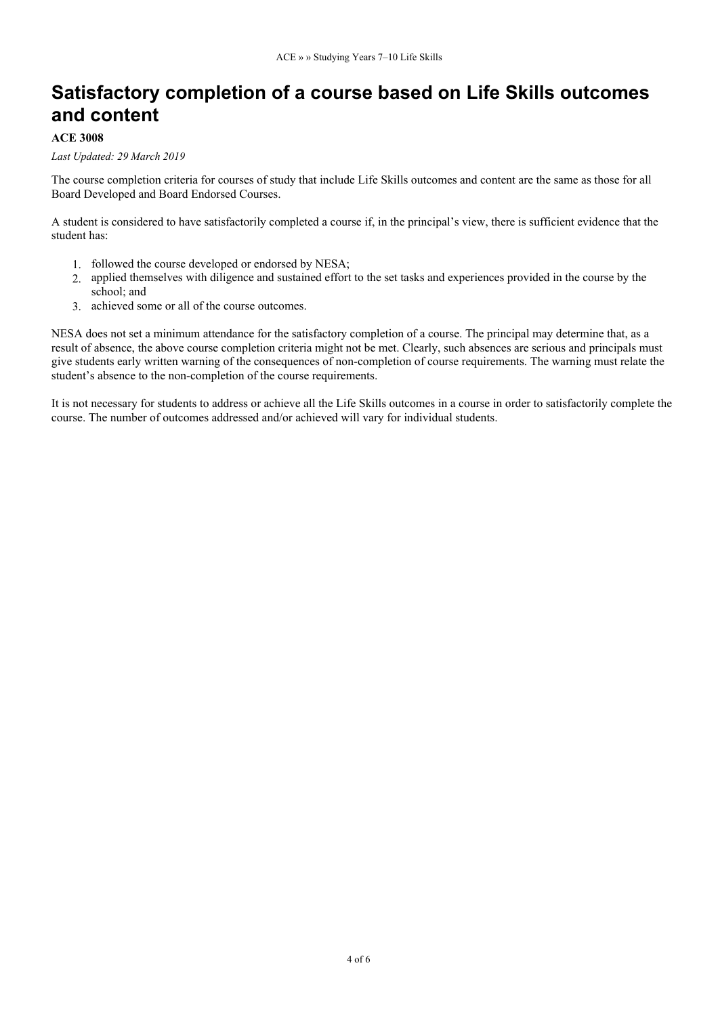# **Satisfactory completion of a course based on Life Skills outcomes and content**

### **ACE 3008**

#### *Last Updated: 29 March 2019*

The course completion criteria for courses of study that include Life Skills outcomes and content are the same as those for all Board Developed and Board Endorsed Courses.

A student is considered to have satisfactorily completed a course if, in the principal's view, there is sufficient evidence that the student has:

- 1. followed the course developed or endorsed by NESA;
- 2. applied themselves with diligence and sustained effort to the set tasks and experiences provided in the course by the school; and
- 3. achieved some or all of the course outcomes.

NESA does not set a minimum attendance for the satisfactory completion of a course. The principal may determine that, as a result of absence, the above course completion criteria might not be met. Clearly, such absences are serious and principals must give students early written warning of the consequences of non-completion of course requirements. The warning must relate the student's absence to the non-completion of the course requirements.

It is not necessary for students to address or achieve all the Life Skills outcomes in a course in order to satisfactorily complete the course. The number of outcomes addressed and/or achieved will vary for individual students.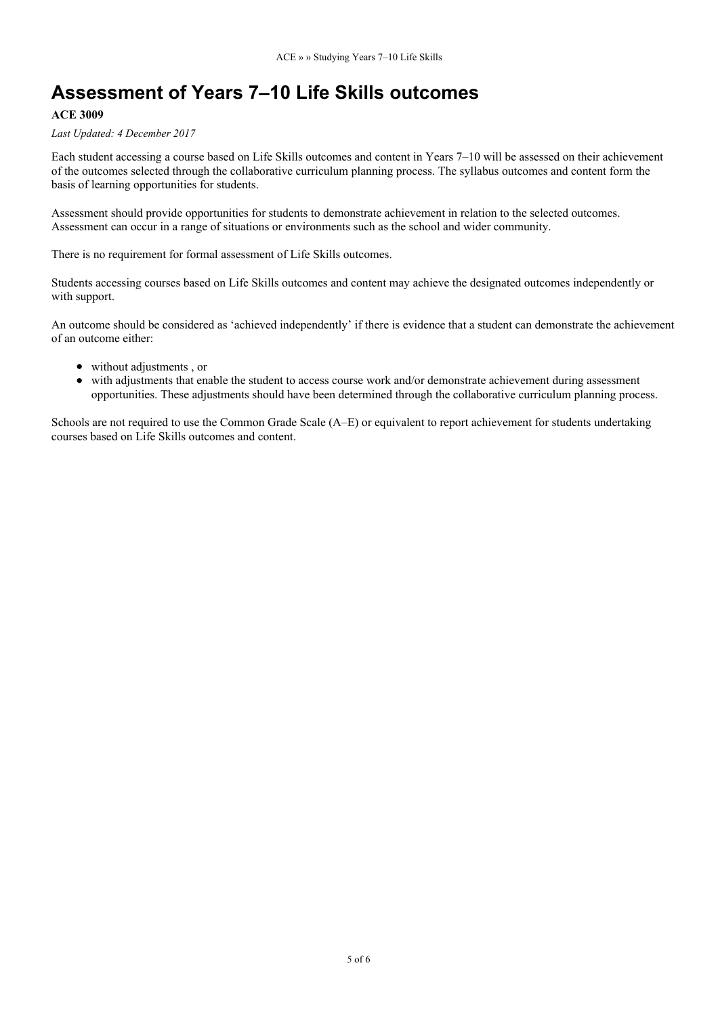# **Assessment of Years 7–10 Life Skills outcomes**

### **ACE 3009**

#### *Last Updated: 4 December 2017*

Each student accessing a course based on Life Skills outcomes and content in Years 7–10 will be assessed on their achievement of the outcomes selected through the collaborative curriculum planning process. The syllabus outcomes and content form the basis of learning opportunities for students.

Assessment should provide opportunities for students to demonstrate achievement in relation to the selected outcomes. Assessment can occur in a range of situations or environments such as the school and wider community.

There is no requirement for formal assessment of Life Skills outcomes.

Students accessing courses based on Life Skills outcomes and content may achieve the designated outcomes independently or with support.

An outcome should be considered as 'achieved independently' if there is evidence that a student can demonstrate the achievement of an outcome either:

- without adjustments , or
- with adjustments that enable the student to access course work and/or demonstrate achievement during assessment opportunities. These adjustments should have been determined through the collaborative curriculum planning process.

Schools are not required to use the Common Grade Scale (A–E) or equivalent to report achievement for students undertaking courses based on Life Skills outcomes and content.